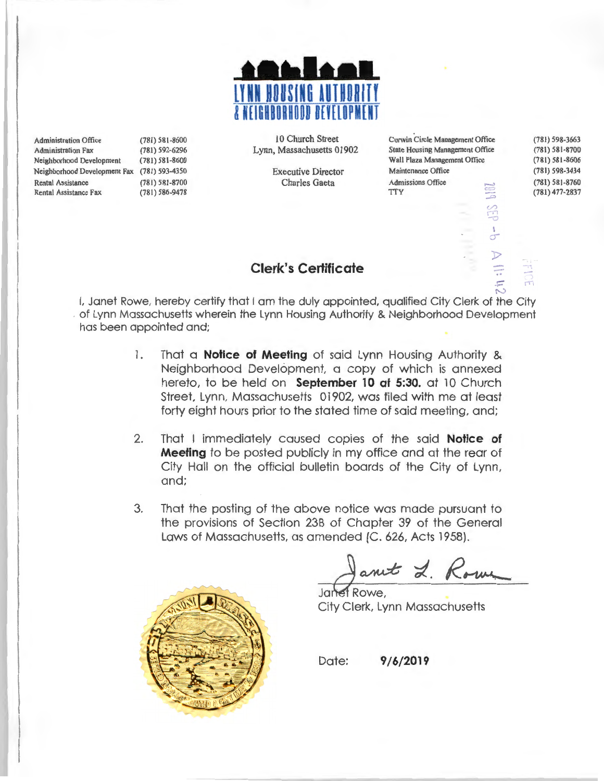

Administration Office (781) 581-8600 Administration Fax (781) 592-6296 Neighborhood Development (781) 58 1-8600 Neighborhood Development Fax (781) 593-4350 Rental Assistance Rental Assistance Fax (78 1) 581 -8700 (781) 586-9478

10 Church Street Lynn, Massachusetts 01902

> Executive Director Charles Gaeta

Curwin Circle Management Office State Housing Management Office Wall Plaza Management Office Maintenance Office Admissions Office **TTY** 

(781) 598-3663 (781) 581-8700 (781) 581-8606 (781) 598-3434 (781) 581-8760 (781) 477-2837

 $\frac{1}{2}$ 

### **Clerk's Certificate**

N I, Janet Rowe, hereby certify that I am the duly appointed, qualified City Clerk of the City . of Lynn Massachusetts wherein the Lynn Housing Authority & Neighborhood Development has been appointed and;

- 1. That a **Notice of Meeting** of said Lynn Housing Authority & Neighborhood Development, a copy of which is annexed hereto, to be held on **September 10 at 5:30.** at 10 Church Street, Lynn, Massachusetts 01902, was filed with me at least forty eight hours prior to the stated time of said meeting, and;
- 2. That I immediately caused copies of the said **Notice of Meeting** to be posted publicly in my office and at the rear of City Hall on the official bulletin boards of the City of Lynn, and;
- 3. That the posting of the above notice was made pursuant to the provisions of Section 238 of Chapter 39 of the General Laws of Massachusetts, as amended (C. 626, Acts 1958).



Janet L. Rome

City Clerk, Lynn Massachusetts

Date: **9/6/2019**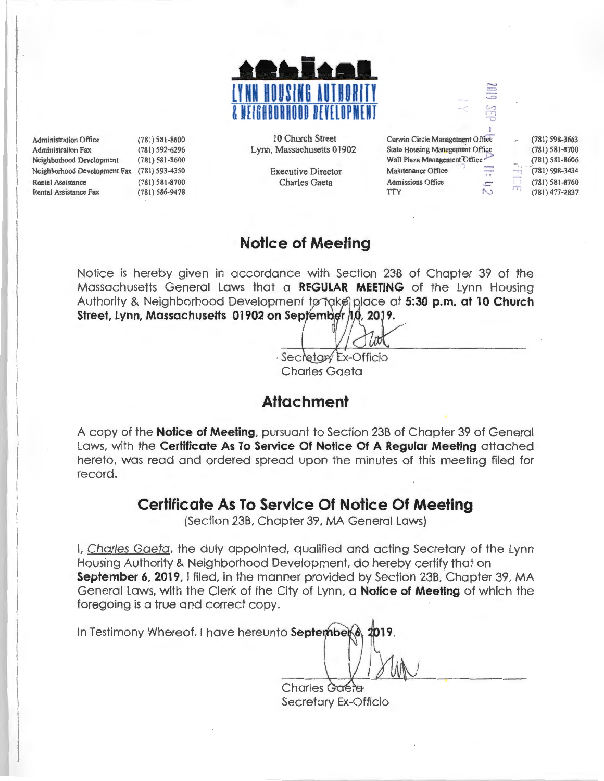

Administration Office (781) 581-8600 Administration Fax (781) 592-6296 Neighborhood Development (781 ) 581-8600 Neighborhood Development Fax (781) 593-4350 Rental Assistance Rental Assistance Fax (781) 58 1-8700 (781) 586-9478

10 Church Street Lynn, Massachusetts 01902

> Executive Director Charles Gaeta

Curwin Circle Management Office State Housing Management Office Wall Plaza Management Office Maintenance Office mai Admissions Office  $\mathbf{r}$ 

(781) 598-3663 (78 1) 581-8700 (78 1) 581-8606 (781) 598-3434 (781) 581-8760  $(781)$  477-2837

## **Notice of Meeting**

Notice is hereby given in accordance with Section 23B of Chapter 39 of the Massachusetts General Laws that a **REGULAR MEETING** of the Lynn Housing Authority & Neighborhood Development to take place at 5:30 p.m. at 10 Church Street, Lynn, Massachusetts 01902 on September 10, 2019.

· Secretary Ex-Officio Charles Gaeta

# **Attachment**

A copy of the **Notice of Meeting,** pursuant to Section 23B of Chapter 39 of General Laws, with the **Certificate As To Service Of Notice Of A Regular Meeting** attached hereto, was read and ordered spread upon the minutes of this meeting filed for record.

### **Certificate As To Service Of Notice Of Meeting**

(Section 23B, Chapter 39, MA General Laws)

I, Charles Gaeta, the duly appointed, qualified and acting Secretary of the Lynn Housing Authority & Neighborhood Development, do hereby certify that on **September 6, 2019,** I filed, in the manner provided by Section 23B, Chapter 39, MA General Laws, with the Clerk of the City of Lynn, a **Notice of Meeting** of which the foregoing is a true and correct copy.

In Testimony Whereof, I have hereunto **September** 2019

Charles Gaeta Secretary Ex-Officio